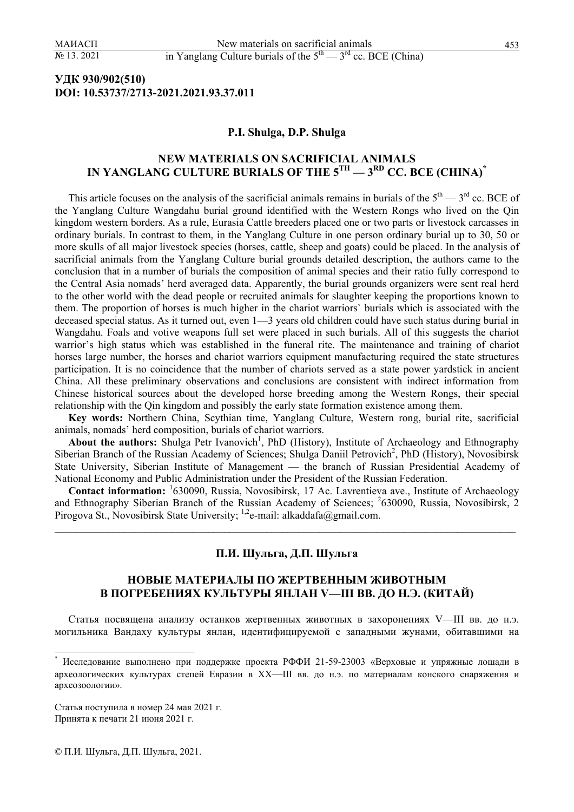## **УДК 930/902(510) DOI: 10.53737/2713-2021.2021.93.37.011**

#### **P.I. Shulga, D.P. Shulga**

# **NEW MATERIALS ON SACRIFICIAL ANIMALS**  IN YANGLANG CULTURE BURIALS OF THE  $5^{\text{TH}} - 3^{\text{RD}}$  CC. BCE (CHINA)<sup>\*</sup>

This article focuses on the analysis of the sacrificial animals remains in burials of the  $5<sup>th</sup>$  —  $3<sup>rd</sup>$  cc. BCE of the Yanglang Culture Wangdahu burial ground identified with the Western Rongs who lived on the Qin kingdom western borders. As a rule, Eurasia Cattle breeders placed one or two parts or livestock carcasses in ordinary burials. In contrast to them, in the Yanglang Culture in one person ordinary burial up to 30, 50 or more skulls of all major livestock species (horses, cattle, sheep and goats) could be placed. In the analysis of sacrificial animals from the Yanglang Culture burial grounds detailed description, the authors came to the conclusion that in a number of burials the composition of animal species and their ratio fully correspond to the Central Asia nomads' herd averaged data. Apparently, the burial grounds organizers were sent real herd to the other world with the dead people or recruited animals for slaughter keeping the proportions known to them. The proportion of horses is much higher in the chariot warriors` burials which is associated with the deceased special status. As it turned out, even 1—3 years old children could have such status during burial in Wangdahu. Foals and votive weapons full set were placed in such burials. All of this suggests the chariot warrior's high status which was established in the funeral rite. The maintenance and training of chariot horses large number, the horses and chariot warriors equipment manufacturing required the state structures participation. It is no coincidence that the number of chariots served as a state power yardstick in ancient China. All these preliminary observations and conclusions are consistent with indirect information from Chinese historical sources about the developed horse breeding among the Western Rongs, their special relationship with the Qin kingdom and possibly the early state formation existence among them.

**Key words:** Northern China, Scythian time, Yanglang Culture, Western rong, burial rite, sacrificial animals, nomads' herd composition, burials of chariot warriors.

About the authors: Shulga Petr Ivanovich<sup>1</sup>, PhD (History), Institute of Archaeology and Ethnography Siberian Branch of the Russian Academy of Sciences; Shulga Daniil Petrovich<sup>2</sup>, PhD (History), Novosibirsk State University, Siberian Institute of Management — the branch of Russian Presidential Academy of National Economy and Public Administration under the President of the Russian Federation.

Contact information: <sup>1</sup>630090, Russia, Novosibirsk, 17 Ac. Lavrentieva ave., Institute of Archaeology and Ethnography Siberian Branch of the Russian Academy of Sciences; <sup>2</sup>630090, Russia, Novosibirsk, 2 Pirogova St., Novosibirsk State University; <sup>1,2</sup>e-mail: alkaddafa@gmail.com.

 $\mathcal{L}_\mathcal{L} = \{ \mathcal{L}_\mathcal{L} = \{ \mathcal{L}_\mathcal{L} = \{ \mathcal{L}_\mathcal{L} = \{ \mathcal{L}_\mathcal{L} = \{ \mathcal{L}_\mathcal{L} = \{ \mathcal{L}_\mathcal{L} = \{ \mathcal{L}_\mathcal{L} = \{ \mathcal{L}_\mathcal{L} = \{ \mathcal{L}_\mathcal{L} = \{ \mathcal{L}_\mathcal{L} = \{ \mathcal{L}_\mathcal{L} = \{ \mathcal{L}_\mathcal{L} = \{ \mathcal{L}_\mathcal{L} = \{ \mathcal{L}_\mathcal{$ 

### **П.И. Шульга, Д.П. Шульга**

### **НОВЫЕ МАТЕРИАЛЫ ПО ЖЕРТВЕННЫМ ЖИВОТНЫМ В ПОГРЕБЕНИЯХ КУЛЬТУРЫ ЯНЛАН V—III ВВ. ДО Н.Э. (КИТАЙ)**

Статья посвящена анализу останков жертвенных животных в захоронениях V—III вв. до н.э. могильника Вандаху культуры янлан, идентифицируемой с западными жунами, обитавшими на

 $\overline{a}$ 

<sup>\*</sup> Исследование выполнено при поддержке проекта РФФИ 21-59-23003 «Верховые и упряжные лошади в археологических культурах степей Евразии в XX—III вв. до н.э. по материалам конского снаряжения и археозоологии».

Статья поступила в номер 24 мая 2021 г. Принята к печати 21 июня 2021 г.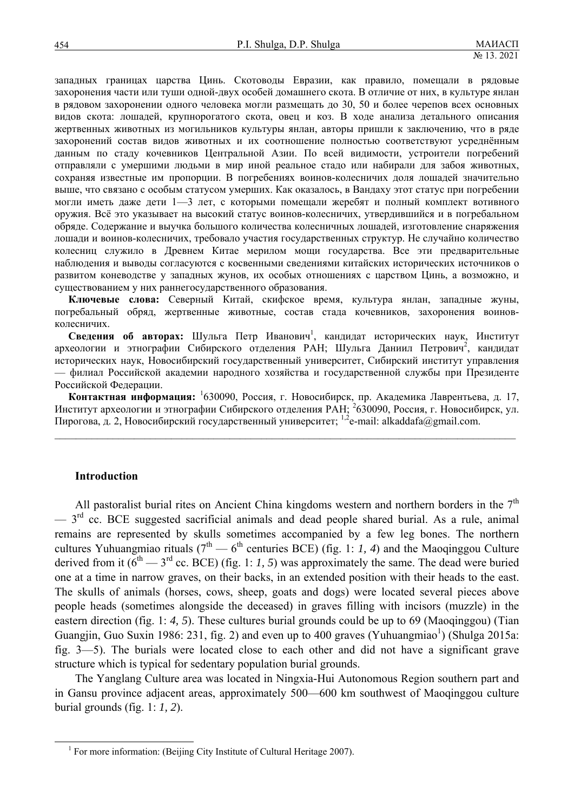западных границах царства Цинь. Скотоводы Евразии, как правило, помещали в рядовые захоронения части или туши одной-двух особей домашнего скота. В отличие от них, в культуре янлан в рядовом захоронении одного человека могли размещать до 30, 50 и более черепов всех основных видов скота: лошадей, крупнорогатого скота, овец и коз. В ходе анализа детального описания жертвенных животных из могильников культуры янлан, авторы пришли к заключению, что в ряде захоронений состав видов животных и их соотношение полностью соответствуют усреднённым данным по стаду кочевников Центральной Азии. По всей видимости, устроители погребений отправляли с умершими людьми в мир иной реальное стадо или набирали для забоя животных, сохраняя известные им пропорции. В погребениях воинов-колесничих доля лошадей значительно выше, что связано с особым статусом умерших. Как оказалось, в Вандаху этот статус при погребении могли иметь даже дети 1—3 лет, с которыми помещали жеребят и полный комплект вотивного оружия. Всё это указывает на высокий статус воинов-колесничих, утвердившийся и в погребальном обряде. Содержание и выучка большого количества колесничных лошадей, изготовление снаряжения лошади и воинов-колесничих, требовало участия государственных структур. Не случайно количество колесниц служило в Древнем Китае мерилом мощи государства. Все эти предварительные наблюдения и выводы согласуются с косвенными сведениями китайских исторических источников о развитом коневодстве у западных жунов, их особых отношениях с царством Цинь, а возможно, и существованием у них раннегосударственного образования.

**Ключевые слова:** Северный Китай, скифское время, культура янлан, западные жуны, погребальный обряд, жертвенные животные, состав стада кочевников, захоронения воиновколесничих.

Сведения об авторах: Шульга Петр Иванович<sup>1</sup>, кандидат исторических наук, Институт археологии и этнографии Сибирского отделения РАН; Шульга Даниил Петрович<sup>2</sup>, кандидат исторических наук, Новосибирский государственный университет, Сибирский институт управления — филиал Российской академии народного хозяйства и государственной службы при Президенте Российской Федерации.

**Контактная информация:** <sup>1</sup> 630090, Россия, г. Новосибирск, пр. Академика Лаврентьева, д. 17, Институт археологии и этнографии Сибирского отделения РАН; <sup>2</sup> 630090, Россия, г. Новосибирск, ул. Пирогова, д. 2, Новосибирский государственный университет; <sup>1,2</sup>e-mail: alkaddafa@gmail.com.

 $\mathcal{L}_\mathcal{L} = \{ \mathcal{L}_\mathcal{L} = \{ \mathcal{L}_\mathcal{L} = \{ \mathcal{L}_\mathcal{L} = \{ \mathcal{L}_\mathcal{L} = \{ \mathcal{L}_\mathcal{L} = \{ \mathcal{L}_\mathcal{L} = \{ \mathcal{L}_\mathcal{L} = \{ \mathcal{L}_\mathcal{L} = \{ \mathcal{L}_\mathcal{L} = \{ \mathcal{L}_\mathcal{L} = \{ \mathcal{L}_\mathcal{L} = \{ \mathcal{L}_\mathcal{L} = \{ \mathcal{L}_\mathcal{L} = \{ \mathcal{L}_\mathcal{$ 

#### **Introduction**

All pastoralist burial rites on Ancient China kingdoms western and northern borders in the  $7<sup>th</sup>$  $-3$ <sup>rd</sup> cc. BCE suggested sacrificial animals and dead people shared burial. As a rule, animal remains are represented by skulls sometimes accompanied by a few leg bones. The northern cultures Yuhuangmiao rituals  $(7<sup>th</sup> - 6<sup>th</sup>$  centuries BCE) (fig. 1: *1, 4*) and the Maoqinggou Culture derived from it  $(6^{th} - 3^{rd}$  cc. BCE) (fig. 1: *1, 5*) was approximately the same. The dead were buried one at a time in narrow graves, on their backs, in an extended position with their heads to the east. The skulls of animals (horses, cows, sheep, goats and dogs) were located several pieces above people heads (sometimes alongside the deceased) in graves filling with incisors (muzzle) in the eastern direction (fig. 1: *4, 5*). These cultures burial grounds could be up to 69 (Maoqinggou) (Tian Guangjin, Guo Suxin 1986: 231, fig. 2) and even up to 400 graves (Yuhuangmiao<sup>1</sup>) (Shulga 2015a: fig. 3—5). The burials were located close to each other and did not have a significant grave structure which is typical for sedentary population burial grounds.

The Yanglang Culture area was located in Ningxia-Hui Autonomous Region southern part and in Gansu province adjacent areas, approximately 500—600 km southwest of Maoqinggou culture burial grounds (fig. 1: *1, 2*).

 $\frac{1}{1}$  $1$  For more information: (Beijing City Institute of Cultural Heritage 2007).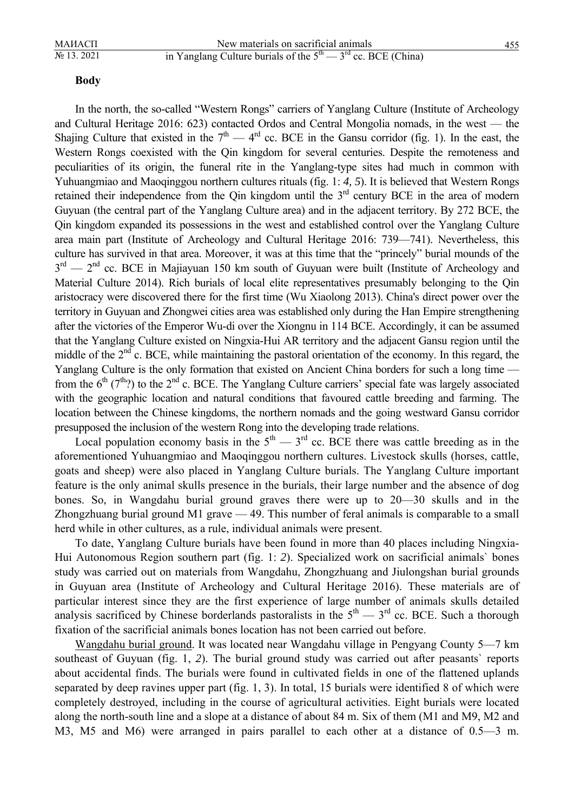#### **Body**

In the north, the so-called "Western Rongs" carriers of Yanglang Culture (Institute of Archeology and Cultural Heritage 2016: 623) contacted Ordos and Central Mongolia nomads, in the west — the Shajing Culture that existed in the  $7<sup>th</sup>$  — 4<sup>rd</sup> cc. BCE in the Gansu corridor (fig. 1). In the east, the Western Rongs coexisted with the Qin kingdom for several centuries. Despite the remoteness and peculiarities of its origin, the funeral rite in the Yanglang-type sites had much in common with Yuhuangmiao and Maoqinggou northern cultures rituals (fig. 1: *4, 5*). It is believed that Western Rongs retained their independence from the Qin kingdom until the  $3<sup>rd</sup>$  century BCE in the area of modern Guyuan (the central part of the Yanglang Culture area) and in the adjacent territory. By 272 BCE, the Qin kingdom expanded its possessions in the west and established control over the Yanglang Culture area main part (Institute of Archeology and Cultural Heritage 2016: 739—741). Nevertheless, this culture has survived in that area. Moreover, it was at this time that the "princely" burial mounds of the  $3<sup>rd</sup>$  — 2<sup>nd</sup> cc. BCE in Majiayuan 150 km south of Guyuan were built (Institute of Archeology and Material Culture 2014). Rich burials of local elite representatives presumably belonging to the Qin aristocracy were discovered there for the first time (Wu Xiaolong 2013). China's direct power over the territory in Guyuan and Zhongwei cities area was established only during the Han Empire strengthening after the victories of the Emperor Wu-di over the Xiongnu in 114 BCE. Accordingly, it can be assumed that the Yanglang Culture existed on Ningxia-Hui AR territory and the adjacent Gansu region until the middle of the  $2<sup>nd</sup>$  c. BCE, while maintaining the pastoral orientation of the economy. In this regard, the Yanglang Culture is the only formation that existed on Ancient China borders for such a long time from the  $6<sup>th</sup>$  (7<sup>th</sup>?) to the 2<sup>nd</sup> c. BCE. The Yanglang Culture carriers' special fate was largely associated with the geographic location and natural conditions that favoured cattle breeding and farming. The location between the Chinese kingdoms, the northern nomads and the going westward Gansu corridor presupposed the inclusion of the western Rong into the developing trade relations.

Local population economy basis in the  $5<sup>th</sup>$  —  $3<sup>rd</sup>$  cc. BCE there was cattle breeding as in the aforementioned Yuhuangmiao and Maoqinggou northern cultures. Livestock skulls (horses, cattle, goats and sheep) were also placed in Yanglang Culture burials. The Yanglang Culture important feature is the only animal skulls presence in the burials, their large number and the absence of dog bones. So, in Wangdahu burial ground graves there were up to 20—30 skulls and in the Zhongzhuang burial ground M1 grave — 49. This number of feral animals is comparable to a small herd while in other cultures, as a rule, individual animals were present.

To date, Yanglang Culture burials have been found in more than 40 places including Ningxia-Hui Autonomous Region southern part (fig. 1: *2*). Specialized work on sacrificial animals` bones study was carried out on materials from Wangdahu, Zhongzhuang and Jiulongshan burial grounds in Guyuan area (Institute of Archeology and Cultural Heritage 2016). These materials are of particular interest since they are the first experience of large number of animals skulls detailed analysis sacrificed by Chinese borderlands pastoralists in the  $5<sup>th</sup>$  —  $3<sup>rd</sup>$  cc. BCE. Such a thorough fixation of the sacrificial animals bones location has not been carried out before.

Wangdahu burial ground. It was located near Wangdahu village in Pengyang County 5—7 km southeast of Guyuan (fig. 1, *2*). The burial ground study was carried out after peasants` reports about accidental finds. The burials were found in cultivated fields in one of the flattened uplands separated by deep ravines upper part (fig. 1, 3). In total, 15 burials were identified 8 of which were completely destroyed, including in the course of agricultural activities. Eight burials were located along the north-south line and a slope at a distance of about 84 m. Six of them (M1 and M9, M2 and M3, M5 and M6) were arranged in pairs parallel to each other at a distance of 0.5—3 m.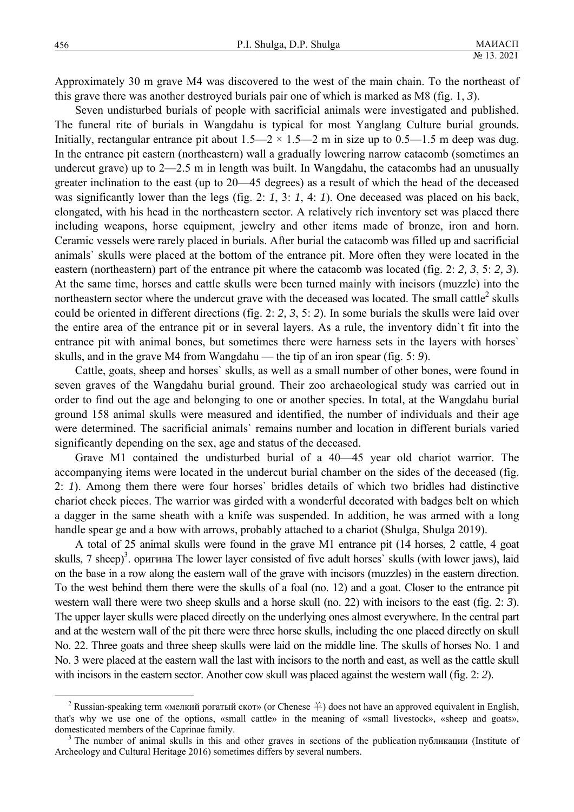Approximately 30 m grave M4 was discovered to the west of the main chain. To the northeast of this grave there was another destroyed burials pair one of which is marked as M8 (fig. 1, *3*).

Seven undisturbed burials of people with sacrificial animals were investigated and published. The funeral rite of burials in Wangdahu is typical for most Yanglang Culture burial grounds. Initially, rectangular entrance pit about  $1.5-2 \times 1.5-2$  m in size up to 0.5-1.5 m deep was dug. In the entrance pit eastern (northeastern) wall a gradually lowering narrow catacomb (sometimes an undercut grave) up to 2—2.5 m in length was built. In Wangdahu, the catacombs had an unusually greater inclination to the east (up to 20—45 degrees) as a result of which the head of the deceased was significantly lower than the legs (fig. 2: *1*, 3: *1*, 4: *1*). One deceased was placed on his back, elongated, with his head in the northeastern sector. A relatively rich inventory set was placed there including weapons, horse equipment, jewelry and other items made of bronze, iron and horn. Ceramic vessels were rarely placed in burials. After burial the catacomb was filled up and sacrificial animals` skulls were placed at the bottom of the entrance pit. More often they were located in the eastern (northeastern) part of the entrance pit where the catacomb was located (fig. 2: *2, 3*, 5: *2, 3*). At the same time, horses and cattle skulls were been turned mainly with incisors (muzzle) into the northeastern sector where the undercut grave with the deceased was located. The small cattle<sup>2</sup> skulls could be oriented in different directions (fig. 2: *2, 3*, 5: *2*). In some burials the skulls were laid over the entire area of the entrance pit or in several layers. As a rule, the inventory didn`t fit into the entrance pit with animal bones, but sometimes there were harness sets in the layers with horses` skulls, and in the grave M4 from Wangdahu — the tip of an iron spear (fig. 5: *9*).

Cattle, goats, sheep and horses` skulls, as well as a small number of other bones, were found in seven graves of the Wangdahu burial ground. Their zoo archaeological study was carried out in order to find out the age and belonging to one or another species. In total, at the Wangdahu burial ground 158 animal skulls were measured and identified, the number of individuals and their age were determined. The sacrificial animals` remains number and location in different burials varied significantly depending on the sex, age and status of the deceased.

Grave M1 contained the undisturbed burial of a 40—45 year old chariot warrior. The accompanying items were located in the undercut burial chamber on the sides of the deceased (fig. 2: *1*). Among them there were four horses` bridles details of which two bridles had distinctive chariot cheek pieces. The warrior was girded with a wonderful decorated with badges belt on which a dagger in the same sheath with a knife was suspended. In addition, he was armed with a long handle spear ge and a bow with arrows, probably attached to a chariot (Shulga, Shulga 2019).

A total of 25 animal skulls were found in the grave M1 entrance pit (14 horses, 2 cattle, 4 goat skulls, 7 sheep)<sup>3</sup>. оригина The lower layer consisted of five adult horses` skulls (with lower jaws), laid on the base in a row along the eastern wall of the grave with incisors (muzzles) in the eastern direction. To the west behind them there were the skulls of a foal (no. 12) and a goat. Closer to the entrance pit western wall there were two sheep skulls and a horse skull (no. 22) with incisors to the east (fig. 2: 3). The upper layer skulls were placed directly on the underlying ones almost everywhere. In the central part and at the western wall of the pit there were three horse skulls, including the one placed directly on skull No. 22. Three goats and three sheep skulls were laid on the middle line. The skulls of horses No. 1 and No. 3 were placed at the eastern wall the last with incisors to the north and east, as well as the cattle skull with incisors in the eastern sector. Another cow skull was placed against the western wall (fig. 2: *2*).

<sup>&</sup>lt;sup>2</sup> Russian-speaking term «мелкий рогатый скот» (or Chenese 羊) does not have an approved equivalent in English, that's why we use one of the options, «small cattle» in the meaning of «small livestock», «sheep and goats», domesticated members of the Caprinae family.

<sup>&</sup>lt;sup>3</sup> The number of animal skulls in this and other graves in sections of the publication публикации (Institute of Archeology and Cultural Heritage 2016) sometimes differs by several numbers.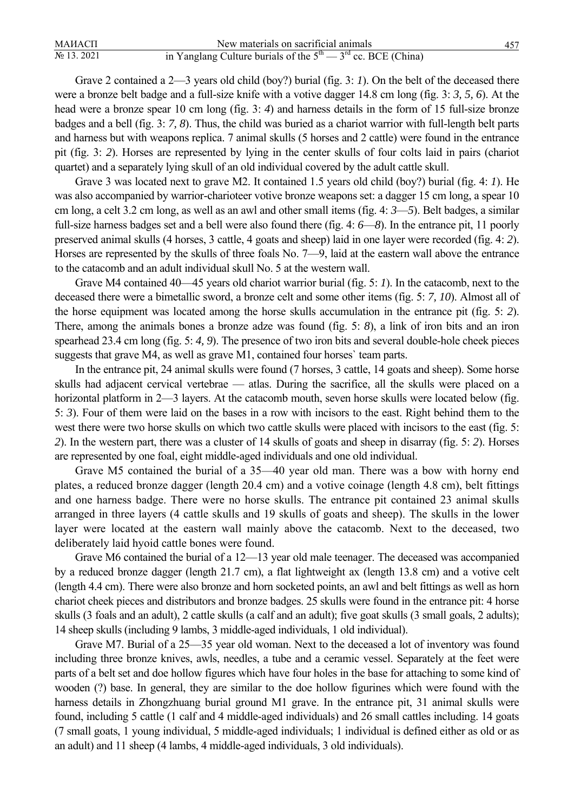| МАИАСП         | New materials on sacrificial animals                             |  |
|----------------|------------------------------------------------------------------|--|
| $N_2$ 13. 2021 | in Yanglang Culture burials of the $5th$ $- 3rd$ cc. BCE (China) |  |

Grave 2 contained a 2—3 years old child (boy?) burial (fig. 3: *1*). On the belt of the deceased there were a bronze belt badge and a full-size knife with a votive dagger 14.8 cm long (fig. 3: *3, 5, 6*). At the head were a bronze spear 10 cm long (fig. 3: *4*) and harness details in the form of 15 full-size bronze badges and a bell (fig. 3: *7, 8*). Thus, the child was buried as a chariot warrior with full-length belt parts and harness but with weapons replica. 7 animal skulls (5 horses and 2 cattle) were found in the entrance pit (fig. 3: *2*). Horses are represented by lying in the center skulls of four colts laid in pairs (chariot quartet) and a separately lying skull of an old individual covered by the adult cattle skull.

Grave 3 was located next to grave M2. It contained 1.5 years old child (boy?) burial (fig. 4: *1*). He was also accompanied by warrior-charioteer votive bronze weapons set: a dagger 15 cm long, a spear 10 cm long, a celt 3.2 cm long, as well as an awl and other small items (fig. 4: *3*—*5*). Belt badges, a similar full-size harness badges set and a bell were also found there (fig. 4: *6*—*8*). In the entrance pit, 11 poorly preserved animal skulls (4 horses, 3 cattle, 4 goats and sheep) laid in one layer were recorded (fig. 4: *2*). Horses are represented by the skulls of three foals No. 7—9, laid at the eastern wall above the entrance to the catacomb and an adult individual skull No. 5 at the western wall.

Grave M4 contained 40—45 years old chariot warrior burial (fig. 5: *1*). In the catacomb, next to the deceased there were a bimetallic sword, a bronze celt and some other items (fig. 5: *7, 10*). Almost all of the horse equipment was located among the horse skulls accumulation in the entrance pit (fig. 5: *2*). There, among the animals bones a bronze adze was found (fig. 5: *8*), a link of iron bits and an iron spearhead 23.4 cm long (fig. 5: *4, 9*). The presence of two iron bits and several double-hole cheek pieces suggests that grave M4, as well as grave M1, contained four horses` team parts.

In the entrance pit, 24 animal skulls were found (7 horses, 3 cattle, 14 goats and sheep). Some horse skulls had adjacent cervical vertebrae — atlas. During the sacrifice, all the skulls were placed on a horizontal platform in 2—3 layers. At the catacomb mouth, seven horse skulls were located below (fig. 5: *3*). Four of them were laid on the bases in a row with incisors to the east. Right behind them to the west there were two horse skulls on which two cattle skulls were placed with incisors to the east (fig. 5: *2*). In the western part, there was a cluster of 14 skulls of goats and sheep in disarray (fig. 5: *2*). Horses are represented by one foal, eight middle-aged individuals and one old individual.

Grave M5 contained the burial of a 35—40 year old man. There was a bow with horny end plates, a reduced bronze dagger (length 20.4 cm) and a votive coinage (length 4.8 cm), belt fittings and one harness badge. There were no horse skulls. The entrance pit contained 23 animal skulls arranged in three layers (4 cattle skulls and 19 skulls of goats and sheep). The skulls in the lower layer were located at the eastern wall mainly above the catacomb. Next to the deceased, two deliberately laid hyoid cattle bones were found.

Grave M6 contained the burial of a 12—13 year old male teenager. The deceased was accompanied by a reduced bronze dagger (length 21.7 cm), a flat lightweight ax (length 13.8 cm) and a votive celt (length 4.4 cm). There were also bronze and horn socketed points, an awl and belt fittings as well as horn chariot cheek pieces and distributors and bronze badges. 25 skulls were found in the entrance pit: 4 horse skulls (3 foals and an adult), 2 cattle skulls (a calf and an adult); five goat skulls (3 small goals, 2 adults); 14 sheep skulls (including 9 lambs, 3 middle-aged individuals, 1 old individual).

Grave M7. Burial of a 25—35 year old woman. Next to the deceased a lot of inventory was found including three bronze knives, awls, needles, a tube and a ceramic vessel. Separately at the feet were parts of a belt set and doe hollow figures which have four holes in the base for attaching to some kind of wooden (?) base. In general, they are similar to the doe hollow figurines which were found with the harness details in Zhongzhuang burial ground M1 grave. In the entrance pit, 31 animal skulls were found, including 5 cattle (1 calf and 4 middle-aged individuals) and 26 small cattles including. 14 goats (7 small goats, 1 young individual, 5 middle-aged individuals; 1 individual is defined either as old or as an adult) and 11 sheep (4 lambs, 4 middle-aged individuals, 3 old individuals).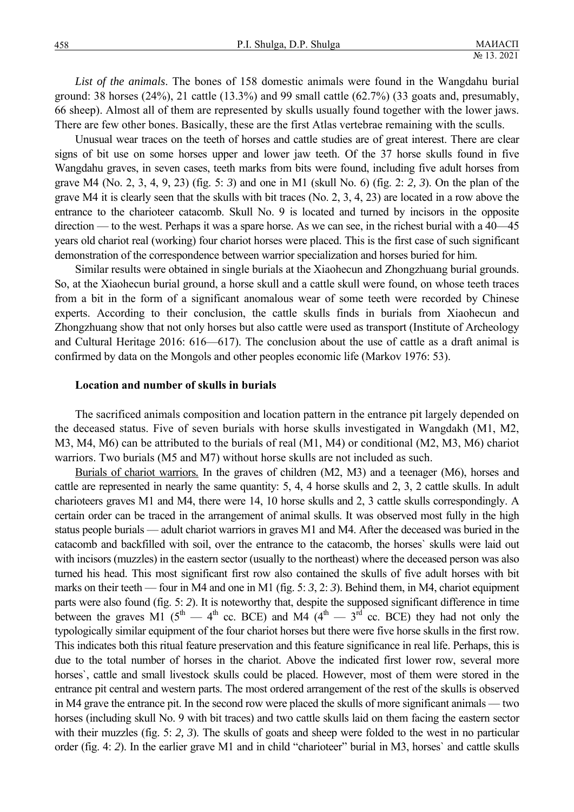*List of the animals*. The bones of 158 domestic animals were found in the Wangdahu burial ground: 38 horses  $(24%)$ , 21 cattle  $(13.3%)$  and 99 small cattle  $(62.7%)$   $(33$  goats and, presumably, 66 sheep). Almost all of them are represented by skulls usually found together with the lower jaws. There are few other bones. Basically, these are the first Atlas vertebrae remaining with the sculls.

Unusual wear traces on the teeth of horses and cattle studies are of great interest. There are clear signs of bit use on some horses upper and lower jaw teeth. Of the 37 horse skulls found in five Wangdahu graves, in seven cases, teeth marks from bits were found, including five adult horses from grave M4 (No. 2, 3, 4, 9, 23) (fig. 5: *3*) and one in M1 (skull No. 6) (fig. 2: *2, 3*). On the plan of the grave M4 it is clearly seen that the skulls with bit traces (No. 2, 3, 4, 23) are located in a row above the entrance to the charioteer catacomb. Skull No. 9 is located and turned by incisors in the opposite direction — to the west. Perhaps it was a spare horse. As we can see, in the richest burial with a 40—45 years old chariot real (working) four chariot horses were placed. This is the first case of such significant demonstration of the correspondence between warrior specialization and horses buried for him.

Similar results were obtained in single burials at the Xiaohecun and Zhongzhuang burial grounds. So, at the Xiaohecun burial ground, a horse skull and a cattle skull were found, on whose teeth traces from a bit in the form of a significant anomalous wear of some teeth were recorded by Chinese experts. According to their conclusion, the cattle skulls finds in burials from Xiaohecun and Zhongzhuang show that not only horses but also cattle were used as transport (Institute of Archeology and Cultural Heritage 2016: 616—617). The conclusion about the use of cattle as a draft animal is confirmed by data on the Mongols and other peoples economic life (Markov 1976: 53).

#### **Location and number of skulls in burials**

The sacrificed animals composition and location pattern in the entrance pit largely depended on the deceased status. Five of seven burials with horse skulls investigated in Wangdakh (M1, M2, M3, M4, M6) can be attributed to the burials of real (M1, M4) or conditional (M2, M3, M6) chariot warriors. Two burials (M5 and M7) without horse skulls are not included as such.

Burials of chariot warriors*.* In the graves of children (M2, M3) and a teenager (M6), horses and cattle are represented in nearly the same quantity: 5, 4, 4 horse skulls and 2, 3, 2 cattle skulls. In adult charioteers graves M1 and M4, there were 14, 10 horse skulls and 2, 3 cattle skulls correspondingly. A certain order can be traced in the arrangement of animal skulls. It was observed most fully in the high status people burials — adult chariot warriors in graves M1 and M4. After the deceased was buried in the catacomb and backfilled with soil, over the entrance to the catacomb, the horses` skulls were laid out with incisors (muzzles) in the eastern sector (usually to the northeast) where the deceased person was also turned his head. This most significant first row also contained the skulls of five adult horses with bit marks on their teeth — four in M4 and one in M1 (fig. 5: *3*, 2: *3*). Behind them, in M4, chariot equipment parts were also found (fig. 5: *2*). It is noteworthy that, despite the supposed significant difference in time between the graves M1 ( $5<sup>th</sup>$  — 4<sup>th</sup> cc. BCE) and M4 ( $4<sup>th</sup>$  —  $3<sup>rd</sup>$  cc. BCE) they had not only the typologically similar equipment of the four chariot horses but there were five horse skulls in the first row. This indicates both this ritual feature preservation and this feature significance in real life. Perhaps, this is due to the total number of horses in the chariot. Above the indicated first lower row, several more horses`, cattle and small livestock skulls could be placed. However, most of them were stored in the entrance pit central and western parts. The most ordered arrangement of the rest of the skulls is observed in M4 grave the entrance pit. In the second row were placed the skulls of more significant animals — two horses (including skull No. 9 with bit traces) and two cattle skulls laid on them facing the eastern sector with their muzzles (fig. 5: 2, 3). The skulls of goats and sheep were folded to the west in no particular order (fig. 4: *2*). In the earlier grave M1 and in child "charioteer" burial in M3, horses` and cattle skulls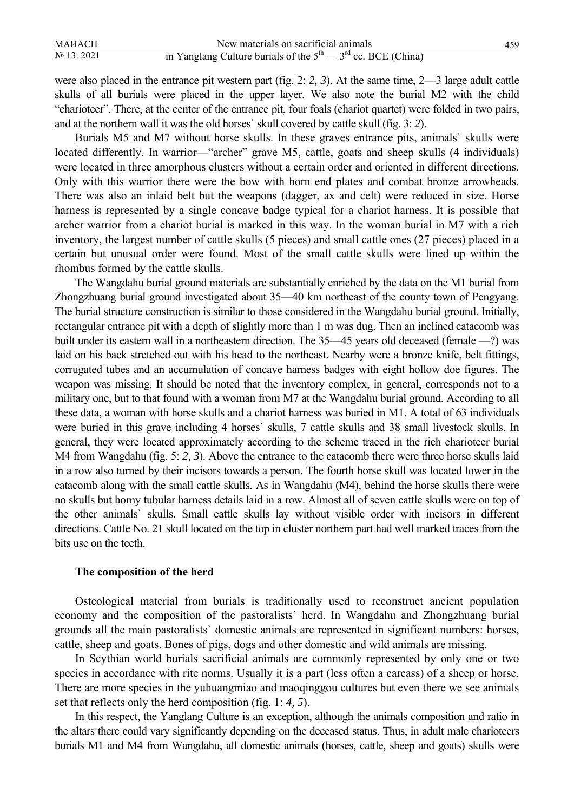| МАИАСП         | New materials on sacrificial animals                             |  |
|----------------|------------------------------------------------------------------|--|
| $N_2$ 13. 2021 | in Yanglang Culture burials of the $5th$ - $3rd$ cc. BCE (China) |  |

were also placed in the entrance pit western part (fig. 2: *2, 3*). At the same time, 2—3 large adult cattle skulls of all burials were placed in the upper layer. We also note the burial M2 with the child "charioteer". There, at the center of the entrance pit, four foals (chariot quartet) were folded in two pairs, and at the northern wall it was the old horses` skull covered by cattle skull (fig. 3: *2*).

Burials M5 and M7 without horse skulls. In these graves entrance pits, animals` skulls were located differently. In warrior—"archer" grave M5, cattle, goats and sheep skulls (4 individuals) were located in three amorphous clusters without a certain order and oriented in different directions. Only with this warrior there were the bow with horn end plates and combat bronze arrowheads. There was also an inlaid belt but the weapons (dagger, ax and celt) were reduced in size. Horse harness is represented by a single concave badge typical for a chariot harness. It is possible that archer warrior from a chariot burial is marked in this way. In the woman burial in M7 with a rich inventory, the largest number of cattle skulls (5 pieces) and small cattle ones (27 pieces) placed in a certain but unusual order were found. Most of the small cattle skulls were lined up within the rhombus formed by the cattle skulls.

The Wangdahu burial ground materials are substantially enriched by the data on the M1 burial from Zhongzhuang burial ground investigated about 35—40 km northeast of the county town of Pengyang. The burial structure construction is similar to those considered in the Wangdahu burial ground. Initially, rectangular entrance pit with a depth of slightly more than 1 m was dug. Then an inclined catacomb was built under its eastern wall in a northeastern direction. The 35—45 years old deceased (female —?) was laid on his back stretched out with his head to the northeast. Nearby were a bronze knife, belt fittings, corrugated tubes and an accumulation of concave harness badges with eight hollow doe figures. The weapon was missing. It should be noted that the inventory complex, in general, corresponds not to a military one, but to that found with a woman from M7 at the Wangdahu burial ground. According to all these data, a woman with horse skulls and a chariot harness was buried in M1. A total of 63 individuals were buried in this grave including 4 horses` skulls, 7 cattle skulls and 38 small livestock skulls. In general, they were located approximately according to the scheme traced in the rich charioteer burial M4 from Wangdahu (fig. 5: *2, 3*). Above the entrance to the catacomb there were three horse skulls laid in a row also turned by their incisors towards a person. The fourth horse skull was located lower in the catacomb along with the small cattle skulls. As in Wangdahu (M4), behind the horse skulls there were no skulls but horny tubular harness details laid in a row. Almost all of seven cattle skulls were on top of the other animals` skulls. Small cattle skulls lay without visible order with incisors in different directions. Cattle No. 21 skull located on the top in cluster northern part had well marked traces from the bits use on the teeth.

#### **The composition of the herd**

Osteological material from burials is traditionally used to reconstruct ancient population economy and the composition of the pastoralists` herd. In Wangdahu and Zhongzhuang burial grounds all the main pastoralists` domestic animals are represented in significant numbers: horses, cattle, sheep and goats. Bones of pigs, dogs and other domestic and wild animals are missing.

In Scythian world burials sacrificial animals are commonly represented by only one or two species in accordance with rite norms. Usually it is a part (less often a carcass) of a sheep or horse. There are more species in the yuhuangmiao and maoqinggou cultures but even there we see animals set that reflects only the herd composition (fig. 1: *4, 5*).

In this respect, the Yanglang Culture is an exception, although the animals composition and ratio in the altars there could vary significantly depending on the deceased status. Thus, in adult male charioteers burials M1 and M4 from Wangdahu, all domestic animals (horses, cattle, sheep and goats) skulls were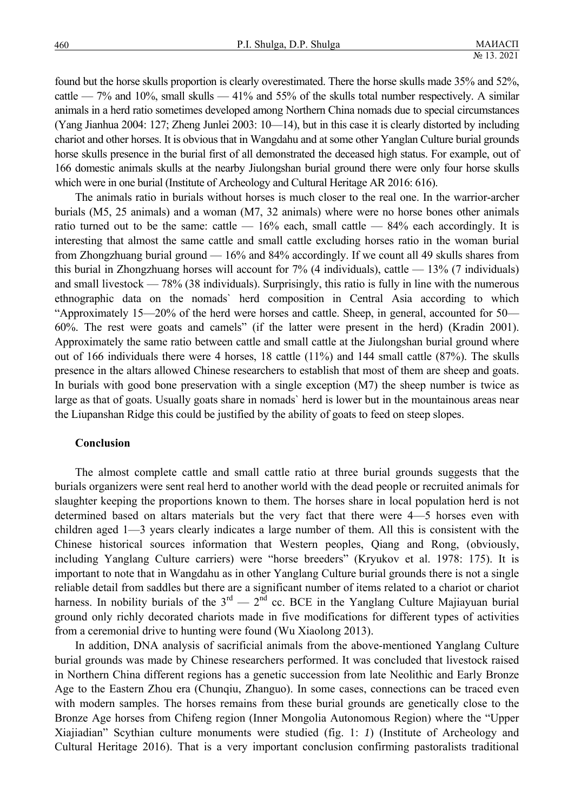found but the horse skulls proportion is clearly overestimated. There the horse skulls made 35% and 52%, cattle — 7% and 10%, small skulls — 41% and 55% of the skulls total number respectively. A similar animals in a herd ratio sometimes developed among Northern China nomads due to special circumstances (Yang Jianhua 2004: 127; Zheng Junlei 2003: 10—14), but in this case it is clearly distorted by including chariot and other horses. It is obvious that in Wangdahu and at some other Yanglan Culture burial grounds horse skulls presence in the burial first of all demonstrated the deceased high status. For example, out of 166 domestic animals skulls at the nearby Jiulongshan burial ground there were only four horse skulls which were in one burial (Institute of Archeology and Cultural Heritage AR 2016: 616).

The animals ratio in burials without horses is much closer to the real one. In the warrior-archer burials (M5, 25 animals) and a woman (M7, 32 animals) where were no horse bones other animals ratio turned out to be the same: cattle  $-16\%$  each, small cattle  $-84\%$  each accordingly. It is interesting that almost the same cattle and small cattle excluding horses ratio in the woman burial from Zhongzhuang burial ground — 16% and 84% accordingly. If we count all 49 skulls shares from this burial in Zhongzhuang horses will account for  $7\%$  (4 individuals), cattle  $-13\%$  (7 individuals) and small livestock — 78% (38 individuals). Surprisingly, this ratio is fully in line with the numerous ethnographic data on the nomads` herd composition in Central Asia according to which "Approximately 15—20% of the herd were horses and cattle. Sheep, in general, accounted for 50— 60%. The rest were goats and camels" (if the latter were present in the herd) (Kradin 2001). Approximately the same ratio between cattle and small cattle at the Jiulongshan burial ground where out of 166 individuals there were 4 horses, 18 cattle (11%) and 144 small cattle (87%). The skulls presence in the altars allowed Chinese researchers to establish that most of them are sheep and goats. In burials with good bone preservation with a single exception (M7) the sheep number is twice as large as that of goats. Usually goats share in nomads` herd is lower but in the mountainous areas near the Liupanshan Ridge this could be justified by the ability of goats to feed on steep slopes.

#### **Conclusion**

The almost complete cattle and small cattle ratio at three burial grounds suggests that the burials organizers were sent real herd to another world with the dead people or recruited animals for slaughter keeping the proportions known to them. The horses share in local population herd is not determined based on altars materials but the very fact that there were 4—5 horses even with children aged 1—3 years clearly indicates a large number of them. All this is consistent with the Chinese historical sources information that Western peoples, Qiang and Rong, (obviously, including Yanglang Culture carriers) were "horse breeders" (Kryukov et al. 1978: 175). It is important to note that in Wangdahu as in other Yanglang Culture burial grounds there is not a single reliable detail from saddles but there are a significant number of items related to a chariot or chariot harness. In nobility burials of the  $3^{rd}$  —  $2^{nd}$  cc. BCE in the Yanglang Culture Majiayuan burial ground only richly decorated chariots made in five modifications for different types of activities from a ceremonial drive to hunting were found (Wu Xiaolong 2013).

In addition, DNA analysis of sacrificial animals from the above-mentioned Yanglang Culture burial grounds was made by Chinese researchers performed. It was concluded that livestock raised in Northern China different regions has a genetic succession from late Neolithic and Early Bronze Age to the Eastern Zhou era (Chunqiu, Zhanguo). In some cases, connections can be traced even with modern samples. The horses remains from these burial grounds are genetically close to the Bronze Age horses from Chifeng region (Inner Mongolia Autonomous Region) where the "Upper Xiajiadian" Scythian culture monuments were studied (fig. 1: *1*) (Institute of Archeology and Cultural Heritage 2016). That is a very important conclusion confirming pastoralists traditional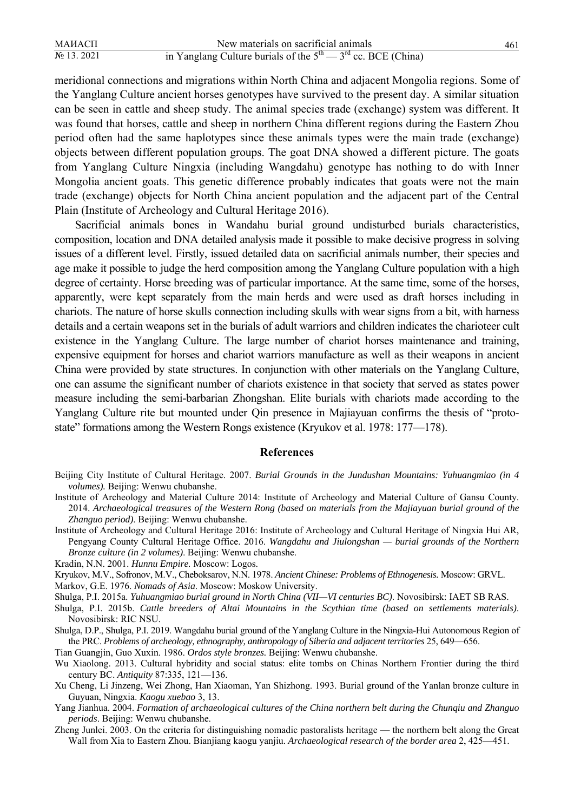| МАИАСП         | New materials on sacrificial animals                             |  |
|----------------|------------------------------------------------------------------|--|
| $N_2$ 13. 2021 | in Yanglang Culture burials of the $5th$ $- 3rd$ cc. BCE (China) |  |

meridional connections and migrations within North China and adjacent Mongolia regions. Some of the Yanglang Culture ancient horses genotypes have survived to the present day. A similar situation can be seen in cattle and sheep study. The animal species trade (exchange) system was different. It was found that horses, cattle and sheep in northern China different regions during the Eastern Zhou period often had the same haplotypes since these animals types were the main trade (exchange) objects between different population groups. The goat DNA showed a different picture. The goats from Yanglang Culture Ningxia (including Wangdahu) genotype has nothing to do with Inner Mongolia ancient goats. This genetic difference probably indicates that goats were not the main trade (exchange) objects for North China ancient population and the adjacent part of the Central Plain (Institute of Archeology and Cultural Heritage 2016).

Sacrificial animals bones in Wandahu burial ground undisturbed burials characteristics, composition, location and DNA detailed analysis made it possible to make decisive progress in solving issues of a different level. Firstly, issued detailed data on sacrificial animals number, their species and age make it possible to judge the herd composition among the Yanglang Culture population with a high degree of certainty. Horse breeding was of particular importance. At the same time, some of the horses, apparently, were kept separately from the main herds and were used as draft horses including in chariots. The nature of horse skulls connection including skulls with wear signs from a bit, with harness details and a certain weapons set in the burials of adult warriors and children indicates the charioteer cult existence in the Yanglang Culture. The large number of chariot horses maintenance and training, expensive equipment for horses and chariot warriors manufacture as well as their weapons in ancient China were provided by state structures. In conjunction with other materials on the Yanglang Culture, one can assume the significant number of chariots existence in that society that served as states power measure including the semi-barbarian Zhongshan. Elite burials with chariots made according to the Yanglang Culture rite but mounted under Qin presence in Majiayuan confirms the thesis of "protostate" formations among the Western Rongs existence (Kryukov et al. 1978: 177—178).

#### **References**

- Institute of Archeology and Material Culture 2014: Institute of Archeology and Material Culture of Gansu County. 2014. *Archaeological treasures of the Western Rong (based on materials from the Majiayuan burial ground of the Zhanguo period)*. Beijing: Wenwu chubanshe.
- Institute of Archeology and Cultural Heritage 2016: Institute of Archeology and Cultural Heritage of Ningxia Hui AR, Pengyang County Cultural Heritage Office. 2016. *Wangdahu and Jiulongshan — burial grounds of the Northern Bronze culture (in 2 volumes)*. Beijing: Wenwu chubanshe.
- Kradin, N.N. 2001. *Hunnu Empire.* Moscow: Logos.
- Kryukov, M.V., Sofronov, M.V., Cheboksarov, N.N. 1978. *Ancient Chinese: Problems of Ethnogenesis.* Moscow: GRVL.

Markov, G.E. 1976. *Nomads of Asia*. Moscow: Moskow University.

- Shulga, P.I. 2015a. *Yuhuangmiao burial ground in North China (VII—VI centuries BC)*. Novosibirsk: IAET SB RAS.
- Shulga, P.I. 2015b. *Cattle breeders of Altai Mountains in the Scythian time (based on settlements materials)*. Novosibirsk: RIC NSU.
- Shulga, D.P., Shulga, P.I. 2019. Wangdahu burial ground of the Yanglang Culture in the Ningxia-Hui Autonomous Region of the PRC. *Problems of archeology, ethnography, anthropology of Siberia and adjacent territories* 25, 649—656.

Tian Guangjin, Guo Xuxin. 1986. *Ordos style bronzes.* Beijing: Wenwu chubanshe.

- Wu Xiaolong. 2013. Cultural hybridity and social status: elite tombs on Chinas Northern Frontier during the third century BC. *Antiquity* 87:335, 121—136.
- Xu Cheng, Li Jinzeng, Wei Zhong, Han Xiaoman, Yan Shizhong. 1993. Burial ground of the Yanlan bronze culture in Guyuan, Ningxia. *Kaogu xuebao* 3, 13.
- Yang Jianhua. 2004. *Formation of archaeological cultures of the China northern belt during the Chunqiu and Zhanguo periods*. Beijing: Wenwu chubanshe.
- Zheng Junlei. 2003. On the criteria for distinguishing nomadic pastoralists heritage the northern belt along the Great Wall from Xia to Eastern Zhou. Bianjiang kaogu yanjiu. *Archaeological research of the border area* 2, 425—451.

Beijing City Institute of Cultural Heritage. 2007. *Burial Grounds in the Jundushan Mountains: Yuhuangmiao (in 4 volumes).* Beijing: Wenwu chubanshe.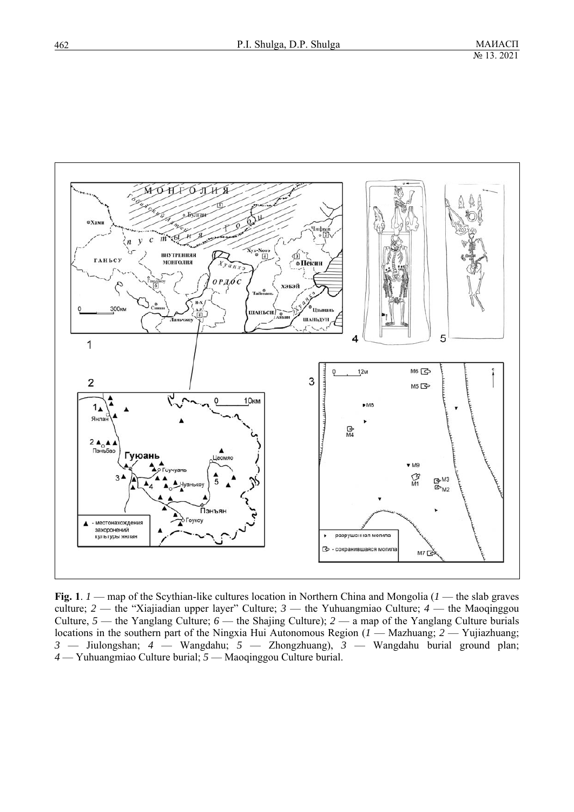

**Fig. 1**. *1* — map of the Scythian-like cultures location in Northern China and Mongolia (*1* — the slab graves culture; *2* — the "Xiajiadian upper layer" Culture; *3* — the Yuhuangmiao Culture; *4* — the Maoqinggou Culture, *5* — the Yanglang Culture; *6* — the Shajing Culture); *2* — a map of the Yanglang Culture burials locations in the southern part of the Ningxia Hui Autonomous Region (*1* — Mazhuang; *2* — Yujiazhuang; *3* — Jiulongshan; *4* — Wangdahu; *5* — Zhongzhuang), *3* — Wangdahu burial ground plan; *4* — Yuhuangmiao Culture burial; *5* — Maoqinggou Culture burial.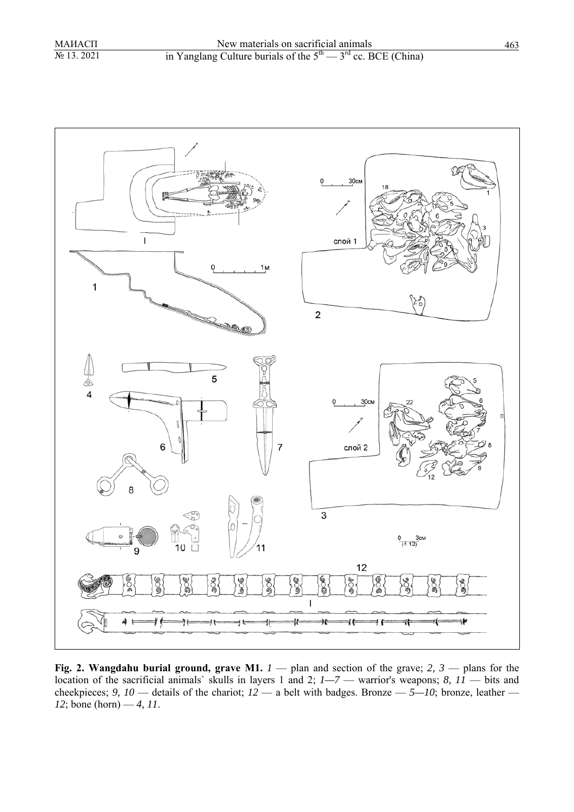

**Fig. 2. Wangdahu burial ground, grave M1.** *1* — plan and section of the grave; *2, 3* — plans for the location of the sacrificial animals` skulls in layers 1 and 2; *1—7* — warrior's weapons; *8, 11* — bits and cheekpieces; 9, 10 — details of the chariot;  $12$  — a belt with badges. Bronze —  $5-10$ ; bronze, leather — *12*; bone (horn) — *4, 11*.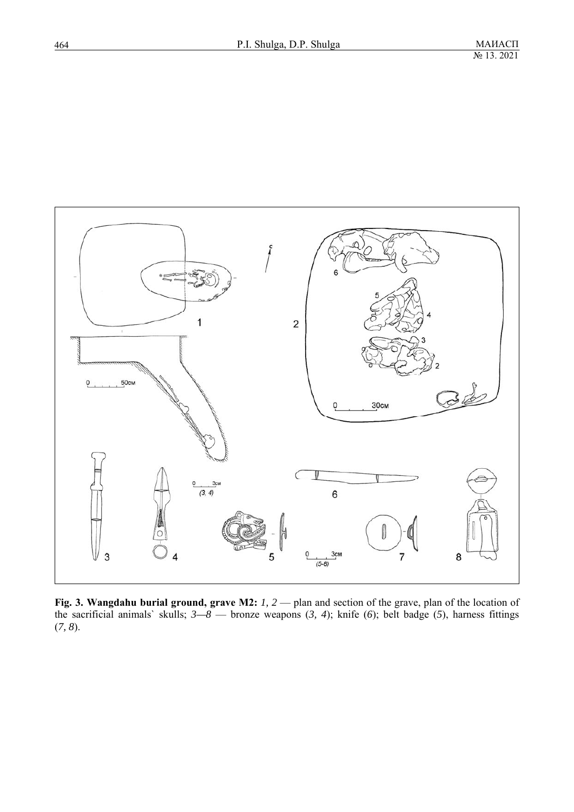

**Fig. 3. Wangdahu burial ground, grave M2:** *1, 2* — plan and section of the grave, plan of the location of the sacrificial animals` skulls; *3—8* — bronze weapons (*3, 4*); knife (*6*); belt badge (*5*), harness fittings (*7, 8*).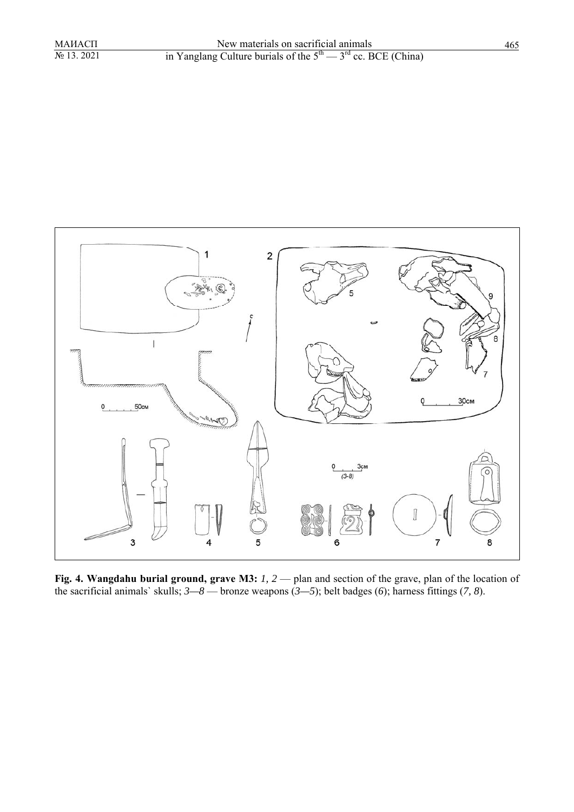

**Fig. 4. Wangdahu burial ground, grave M3:** *1, 2* — plan and section of the grave, plan of the location of the sacrificial animals` skulls; *3—8* — bronze weapons (*3—5*); belt badges (*6*); harness fittings (*7, 8*).